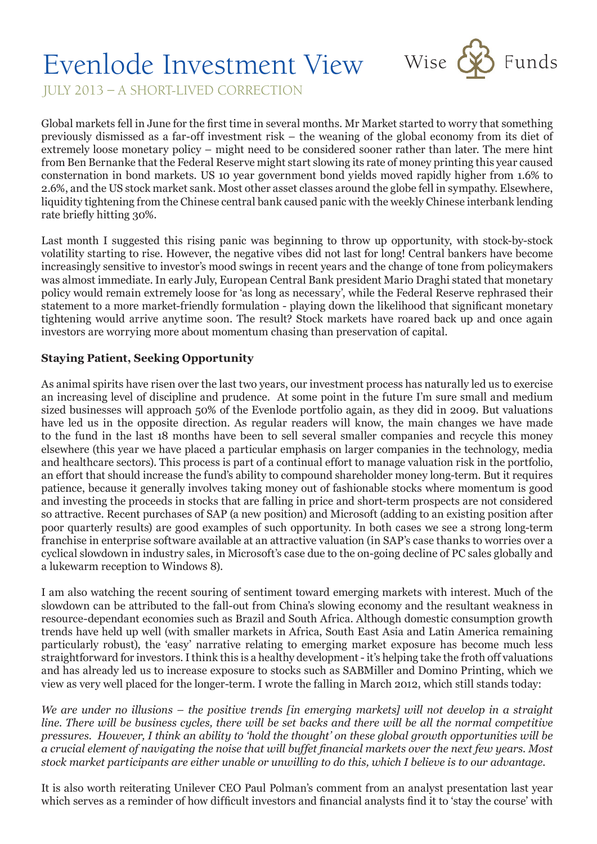## Evenlode Investment View Wise & Funds



JULY 2013 – A SHORT-LIVED CORRECTION

Global markets fell in June for the first time in several months. Mr Market started to worry that something previously dismissed as a far-off investment risk – the weaning of the global economy from its diet of extremely loose monetary policy – might need to be considered sooner rather than later. The mere hint from Ben Bernanke that the Federal Reserve might start slowing its rate of money printing this year caused consternation in bond markets. US 10 year government bond yields moved rapidly higher from 1.6% to 2.6%, and the US stock market sank. Most other asset classes around the globe fell in sympathy. Elsewhere, liquidity tightening from the Chinese central bank caused panic with the weekly Chinese interbank lending rate briefly hitting 30%.

Last month I suggested this rising panic was beginning to throw up opportunity, with stock-by-stock volatility starting to rise. However, the negative vibes did not last for long! Central bankers have become increasingly sensitive to investor's mood swings in recent years and the change of tone from policymakers was almost immediate. In early July, European Central Bank president Mario Draghi stated that monetary policy would remain extremely loose for 'as long as necessary', while the Federal Reserve rephrased their statement to a more market-friendly formulation - playing down the likelihood that significant monetary tightening would arrive anytime soon. The result? Stock markets have roared back up and once again investors are worrying more about momentum chasing than preservation of capital.

## **Staying Patient, Seeking Opportunity**

As animal spirits have risen over the last two years, our investment process has naturally led us to exercise an increasing level of discipline and prudence. At some point in the future I'm sure small and medium sized businesses will approach 50% of the Evenlode portfolio again, as they did in 2009. But valuations have led us in the opposite direction. As regular readers will know, the main changes we have made to the fund in the last 18 months have been to sell several smaller companies and recycle this money elsewhere (this year we have placed a particular emphasis on larger companies in the technology, media and healthcare sectors). This process is part of a continual effort to manage valuation risk in the portfolio, an effort that should increase the fund's ability to compound shareholder money long-term. But it requires patience, because it generally involves taking money out of fashionable stocks where momentum is good and investing the proceeds in stocks that are falling in price and short-term prospects are not considered so attractive. Recent purchases of SAP (a new position) and Microsoft (adding to an existing position after poor quarterly results) are good examples of such opportunity. In both cases we see a strong long-term franchise in enterprise software available at an attractive valuation (in SAP's case thanks to worries over a cyclical slowdown in industry sales, in Microsoft's case due to the on-going decline of PC sales globally and a lukewarm reception to Windows 8).

I am also watching the recent souring of sentiment toward emerging markets with interest. Much of the slowdown can be attributed to the fall-out from China's slowing economy and the resultant weakness in resource-dependant economies such as Brazil and South Africa. Although domestic consumption growth trends have held up well (with smaller markets in Africa, South East Asia and Latin America remaining particularly robust), the 'easy' narrative relating to emerging market exposure has become much less straightforward for investors. I think this is a healthy development - it's helping take the froth off valuations and has already led us to increase exposure to stocks such as SABMiller and Domino Printing, which we view as very well placed for the longer-term. I wrote the falling in March 2012, which still stands today:

*We are under no illusions – the positive trends [in emerging markets] will not develop in a straight line. There will be business cycles, there will be set backs and there will be all the normal competitive pressures. However, I think an ability to 'hold the thought' on these global growth opportunities will be a crucial element of navigating the noise that will buffet financial markets over the next few years. Most stock market participants are either unable or unwilling to do this, which I believe is to our advantage.*

It is also worth reiterating Unilever CEO Paul Polman's comment from an analyst presentation last year which serves as a reminder of how difficult investors and financial analysts find it to 'stay the course' with